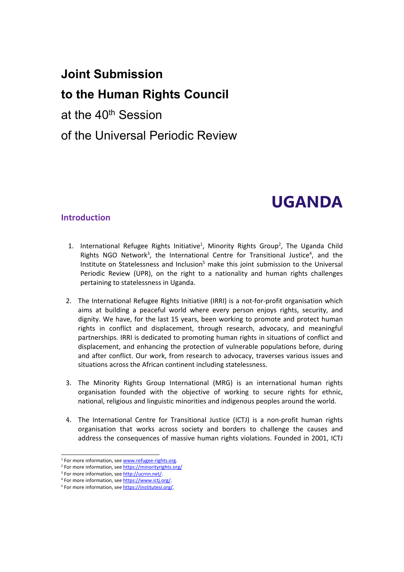# **Joint Submission**

# **to the Human Rights Council**

at the 40<sup>th</sup> Session

of the Universal Periodic Review

# **UGANDA**

#### **Introduction**

- 1. International Refugee Rights Initiative<sup>1</sup>, Minority Rights Group<sup>2</sup>, The Uganda Child Rights NGO Network<sup>3</sup>, the International Centre for Transitional Justice<sup>4</sup>, and the Institute on Statelessness and Inclusion $5$  make this joint submission to the Universal Periodic Review (UPR), on the right to <sup>a</sup> nationality and human rights challenges pertaining to statelessness in Uganda.
- 2. The International Refugee Rights Initiative (IRRI) is <sup>a</sup> not-for-profit organisation which aims at building <sup>a</sup> peaceful world where every person enjoys rights, security, and dignity. We have, for the last 15 years, been working to promote and protect human rights in conflict and displacement, through research, advocacy, and meaningful partnerships. IRRI is dedicated to promoting human rights in situations of conflict and displacement, and enhancing the protection of vulnerable populations before, during and after conflict. Our work, from research to advocacy, traverses various issues and situations across the African continent including statelessness.
- 3. The Minority Rights Group International (MRG) is an international human rights organisation founded with the objective of working to secure rights for ethnic, national, religious and linguistic minorities and indigenous peoples around the world.
- 4. The International Centre for Transitional Justice (ICTJ) is <sup>a</sup> non-profit human rights organisation that works across society and borders to challenge the causes and address the consequences of massive human rights violations. Founded in 2001, ICTJ

<sup>&</sup>lt;sup>1</sup> For more information, see [www.refugee-rights.org](http://www.refugee-rights.org).

<sup>&</sup>lt;sup>2</sup> For more information, see <https://minorityrights.org/>

<sup>&</sup>lt;sup>3</sup> For more information, see <http://ucrnn.net/>.

<sup>4</sup> For more information, see <https://www.ictj.org/>.

<sup>&</sup>lt;sup>5</sup> For more information, see <https://institutesi.org/>.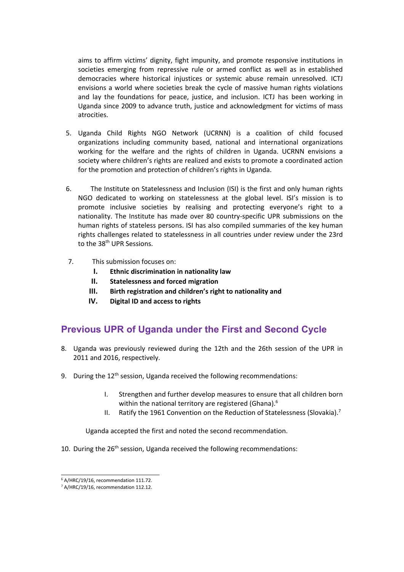aims to affirm victims' dignity, fight impunity, and promote responsive institutions in societies emerging from repressive rule or armed conflict as well as in established democracies where historical injustices or systemic abuse remain unresolved. ICTJ envisions <sup>a</sup> world where societies break the cycle of massive human rights violations and lay the foundations for peace, justice, and inclusion. ICTJ has been working in Uganda since 2009 to advance truth, justice and acknowledgment for victims of mass atrocities.

- 5. Uganda Child Rights NGO Network (UCRNN) is <sup>a</sup> coalition of child focused organizations including community based, national and international organizations working for the welfare and the rights of children in Uganda. UCRNN envisions <sup>a</sup> society where children'<sup>s</sup> rights are realized and exists to promote <sup>a</sup> coordinated action for the promotion and protection of children'<sup>s</sup> rights in Uganda.
- 6. The Institute on Statelessness and Inclusion (ISI) is the first and only human rights NGO dedicated to working on statelessness at the global level. ISI'<sup>s</sup> mission is to promote inclusive societies by realising and protecting everyone'<sup>s</sup> right to <sup>a</sup> nationality. The Institute has made over 80 country-specific UPR submissions on the human rights of stateless persons. ISI has also compiled summaries of the key human rights challenges related to statelessness in all countries under review under the 23rd to the 38<sup>th</sup> UPR Sessions.
- 7. This submission focuses on:
	- **I. Ethnic discrimination in nationality law**
	- **II. Statelessness and forced migration**
	- **III. Birth registration and children'<sup>s</sup> right to nationality and**
	- **IV. Digital ID and access to rights**

# **Previous UPR of Uganda under the First and Second Cycle**

- 8. Uganda was previously reviewed during the 12th and the 26th session of the UPR in 2011 and 2016, respectively.
- 9. During the 12<sup>th</sup> session, Uganda received the following recommendations:
	- I. Strengthen and further develop measures to ensure that all children born within the national territory are registered (Ghana).<sup>6</sup>
	- II. Batify the 1961 Convention on the Reduction of Statelessness (Slovakia).<sup>7</sup>

Uganda accepted the first and noted the second recommendation.

10. During the 26<sup>th</sup> session, Uganda received the following recommendations:

<sup>6</sup> A/HRC/19/16, recommendation 111.72.

<sup>&</sup>lt;sup>7</sup> A/HRC/19/16, recommendation 112.12.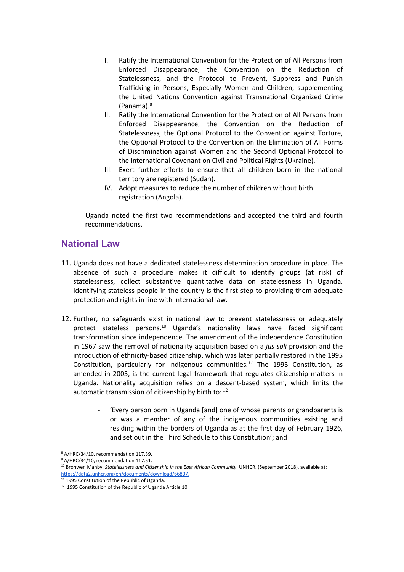- I. Ratify the International Convention for the Protection of All Persons from Enforced Disappearance, the Convention on the Reduction of Statelessness, and the Protocol to Prevent, Suppress and Punish Trafficking in Persons, Especially Women and Children, supplementing the United Nations Convention against Transnational Organized Crime (Panama). 8
- II. Ratify the International Convention for the Protection of All Persons from Enforced Disappearance, the Convention on the Reduction of Statelessness, the Optional Protocol to the Convention against Torture, the Optional Protocol to the Convention on the Elimination of All Forms of Discrimination against Women and the Second Optional Protocol to the International Covenant on Civil and Political Rights (Ukraine).<sup>9</sup>
- III. Exert further efforts to ensure that all children born in the national territory are registered (Sudan).
- IV. Adopt measures to reduce the number of children without birth registration (Angola).

Uganda noted the first two recommendations and accepted the third and fourth recommendations.

## **National Law**

- 11. Uganda does not have <sup>a</sup> dedicated statelessness determination procedure in place. The absence of such <sup>a</sup> procedure makes it difficult to identify groups (at risk) of statelessness, collect substantive quantitative data on statelessness in Uganda. Identifying stateless people in the country is the first step to providing them adequate protection and rights in line with international law.
- 12. Further, no safeguards exist in national law to prevent statelessness or adequately protect stateless persons. 10 Uganda'<sup>s</sup> nationality laws have faced significant transformation since independence. The amendment of the independence Constitution in 1967 saw the removal of nationality acquisition based on <sup>a</sup> *jus soli* provision and the introduction of ethnicity-based citizenship, which was later partially restored in the 1995 Constitution, particularly for indigenous communities*. 11* The 1995 Constitution, as amended in 2005, is the current legal framework that regulates citizenship matters in Uganda. Nationality acquisition relies on <sup>a</sup> descent-based system, which limits the automatic transmission of citizenship by birth to:  $^{12}$ 
	- 'Every person born in Uganda [and] one of whose parents or grandparents is or was <sup>a</sup> member of any of the indigenous communities existing and residing within the borders of Uganda as at the first day of February 1926, and set out in the Third Schedule to this Constitution'; and

<sup>8</sup> A/HRC/34/10, recommendation 117.39.

<sup>&</sup>lt;sup>9</sup> A/HRC/34/10, recommendation 117.51.

<sup>10</sup> Bronwen Manby, *Statelessness and Citizenship in the East African Community*, UNHCR, (September 2018), available at: <https://data2.unhcr.org/en/documents/download/66807>.

<sup>&</sup>lt;sup>11</sup> 1995 Constitution of the Republic of Uganda.

 $12$  1995 Constitution of the Republic of Uganda Article 10.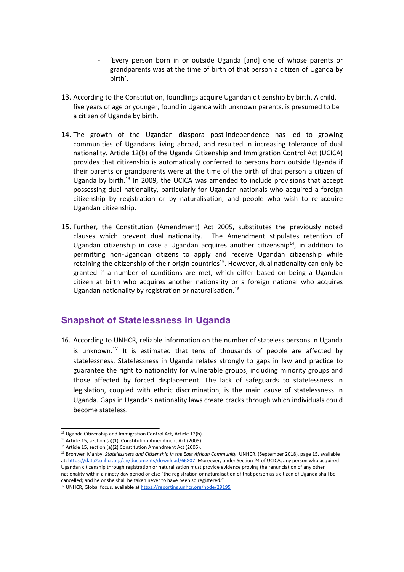- 'Every person born in or outside Uganda [and] one of whose parents or grandparents was at the time of birth of that person <sup>a</sup> citizen of Uganda by birth'.
- 13. According to the Constitution, foundlings acquire Ugandan citizenship by birth. A child, five years of age or younger, found in Uganda with unknown parents, is presumed to be <sup>a</sup> citizen of Uganda by birth.
- 14. The growth of the Ugandan diaspora post-independence has led to growing communities of Ugandans living abroad, and resulted in increasing tolerance of dual nationality. Article 12(b) of the Uganda Citizenship and Immigration Control Act (UCICA) provides that citizenship is automatically conferred to persons born outside Uganda if their parents or grandparents were at the time of the birth of that person <sup>a</sup> citizen of Uganda by birth.<sup>13</sup> In 2009, the UCICA was amended to include provisions that accept possessing dual nationality, particularly for Ugandan nationals who acquired <sup>a</sup> foreign citizenship by registration or by naturalisation, and people who wish to re-acquire Ugandan citizenship.
- 15. Further, the Constitution (Amendment) Act 2005, substitutes the previously noted clauses which prevent dual nationality. The Amendment stipulates retention of Ugandan citizenship in case a Ugandan acquires another citizenship $^{14}$ , in addition to permitting non-Ugandan citizens to apply and receive Ugandan citizenship while retaining the citizenship of their origin countries<sup>15</sup>. However, dual nationality can only be granted if <sup>a</sup> number of conditions are met, which differ based on being <sup>a</sup> Ugandan citizen at birth who acquires another nationality or <sup>a</sup> foreign national who acquires Ugandan nationality by registration or naturalisation.<sup>16</sup>

## **Snapshot of Statelessness in Uganda**

16. According to UNHCR, reliable information on the number of stateless persons in Uganda is unknown.<sup>17</sup> It is estimated that tens of thousands of people are affected by statelessness. Statelessness in Uganda relates strongly to gaps in law and practice to guarantee the right to nationality for vulnerable groups, including minority groups and those affected by forced displacement. The lack of safeguards to statelessness in legislation, coupled with ethnic discrimination, is the main cause of statelessness in Uganda. Gaps in Uganda'<sup>s</sup> nationality laws create cracks through which individuals could become stateless.

4

<sup>&</sup>lt;sup>13</sup> Uganda Citizenship and Immigration Control Act, Article 12(b).

<sup>&</sup>lt;sup>14</sup> Article 15, section (a)(1), Constitution Amendment Act (2005).

<sup>&</sup>lt;sup>15</sup> Article 15, section (a)(2) Constitution Amendment Act (2005).

<sup>16</sup> Bronwen Manby, *Statelessness and Citizenship in the East African Community*, UNHCR, (September 2018), page 15, available at: <https://data2.unhcr.org/en/documents/download/66807>. Moreover, under Section 24 of UCICA, any person who acquired Ugandan citizenship through registration or naturalisation must provide evidence proving the renunciation of any other nationality within <sup>a</sup> ninety-day period or else "the registration or naturalisation of that person as <sup>a</sup> citizen of Uganda shall be cancelled; and he or she shall be taken never to have been so registered."

<sup>&</sup>lt;sup>17</sup> UNHCR, Global focus, available at <https://reporting.unhcr.org/node/29195>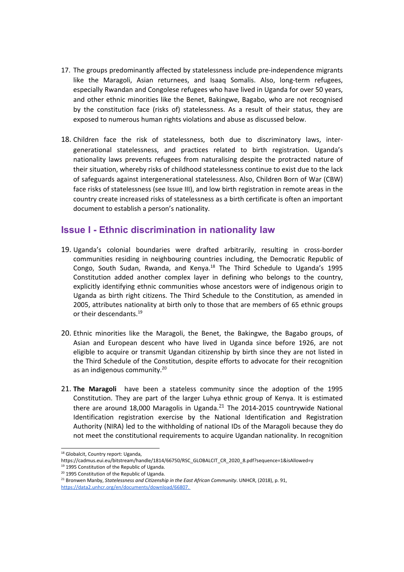- 17. The groups predominantly affected by statelessness include pre-independence migrants like the Maragoli, Asian returnees, and Isaaq Somalis. Also, long-term refugees, especially Rwandan and Congolese refugees who have lived in Uganda for over 50 years, and other ethnic minorities like the Benet, Bakingwe, Bagabo, who are not recognised by the constitution face (risks of) statelessness. As <sup>a</sup> result of their status, they are exposed to numerous human rights violations and abuse as discussed below.
- 18. Children face the risk of statelessness, both due to discriminatory laws, intergenerational statelessness, and practices related to birth registration. Uganda'<sup>s</sup> nationality laws prevents refugees from naturalising despite the protracted nature of their situation, whereby risks of childhood statelessness continue to exist due to the lack of safeguards against intergenerational statelessness. Also, Children Born of War (CBW) face risks of statelessness (see Issue III), and low birth registration in remote areas in the country create increased risks of statelessness as <sup>a</sup> birth certificate is often an important document to establish <sup>a</sup> person'<sup>s</sup> nationality.

### **Issue I - Ethnic discrimination in nationality law**

- 19. Uganda'<sup>s</sup> colonial boundaries were drafted arbitrarily, resulting in cross-border communities residing in neighbouring countries including, the Democratic Republic of Congo, South Sudan, Rwanda, and Kenya.<sup>18</sup> The Third Schedule to Uganda's 1995 Constitution added another complex layer in defining who belongs to the country, explicitly identifying ethnic communities whose ancestors were of indigenous origin to Uganda as birth right citizens. The Third Schedule to the Constitution, as amended in 2005, attributes nationality at birth only to those that are members of 65 ethnic groups or their descendants.<sup>19</sup>
- 20. Ethnic minorities like the Maragoli, the Benet, the Bakingwe, the Bagabo groups, of Asian and European descent who have lived in Uganda since before 1926, are not eligible to acquire or transmit Ugandan citizenship by birth since they are not listed in the Third Schedule of the Constitution, despite efforts to advocate for their recognition as an indigenous community.<sup>20</sup>
- 21. **The Maragoli** have been <sup>a</sup> stateless community since the adoption of the 1995 Constitution. They are part of the larger Luhya ethnic group of Kenya. It is estimated there are around 18,000 Maragolis in Uganda. $^{21}$  The 2014-2015 countrywide National Identification registration exercise by the National Identification and Registration Authority (NIRA) led to the withholding of national IDs of the Maragoli because they do not meet the constitutional requirements to acquire Ugandan nationality. In recognition

<sup>&</sup>lt;sup>18</sup> Globalcit, Country report: Uganda,

https://cadmus.eui.eu/bitstream/handle/1814/66750/RSC\_GLOBALCIT\_CR\_2020\_8.pdf?sequence=1&isAllowed=y

<sup>&</sup>lt;sup>19</sup> 1995 Constitution of the Republic of Uganda.

<sup>&</sup>lt;sup>20</sup> 1995 Constitution of the Republic of Uganda.

<sup>21</sup> Bronwen Manby, *Statelessness and Citizenship in the East African Community*. UNHCR, (2018), p. 91, <https://data2.unhcr.org/en/documents/download/66807>.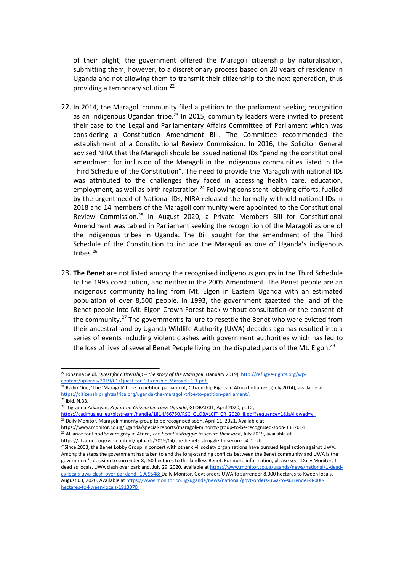of their plight, the government offered the Maragoli citizenship by naturalisation, submitting them, however, to <sup>a</sup> discretionary process based on 20 years of residency in Uganda and not allowing them to transmit their citizenship to the next generation, thus providing a temporary solution.<sup>22</sup>

- 22. In 2014, the Maragoli community filed <sup>a</sup> petition to the parliament seeking recognition as an indigenous Ugandan tribe.<sup>23</sup> In 2015, community leaders were invited to present their case to the Legal and Parliamentary Affairs Committee of Parliament which was considering <sup>a</sup> Constitution Amendment Bill. The Committee recommended the establishment of <sup>a</sup> Constitutional Review Commission. In 2016, the Solicitor General advised NIRA that the Maragoli should be issued national IDs "pending the constitutional amendment for inclusion of the Maragoli in the indigenous communities listed in the Third Schedule of the Constitution". The need to provide the Maragoli with national IDs was attributed to the challenges they faced in accessing health care, education, employment, as well as birth registration.<sup>24</sup> Following consistent lobbying efforts, fuelled by the urgent need of National IDs, NIRA released the formally withheld national IDs in 2018 and 14 members of the Maragoli community were appointed to the Constitutional Review Commission.<sup>25</sup> In August 2020, a Private Members Bill for Constitutional Amendment was tabled in Parliament seeking the recognition of the Maragoli as one of the indigenous tribes in Uganda. The Bill sought for the amendment of the Third Schedule of the Constitution to include the Maragoli as one of Uganda'<sup>s</sup> indigenous tribes.<sup>26</sup>
- 23. **The Benet** are not listed among the recognised indigenous groups in the Third Schedule to the 1995 constitution, and neither in the 2005 Amendment. The Benet people are an indigenous community hailing from Mt. Elgon in Eastern Uganda with an estimated population of over 8,500 people. In 1993, the government gazetted the land of the Benet people into Mt. Elgon Crown Forest back without consultation or the consent of the community.<sup>27</sup> The government's failure to resettle the Benet who were evicted from their ancestral land by Uganda Wildlife Authority (UWA) decades ago has resulted into <sup>a</sup> series of events including violent clashes with government authorities which has led to the loss of lives of several Benet People living on the disputed parts of the Mt. Elgon.<sup>28</sup>

<sup>22</sup> Johanna Seidl, *Quest for citizenship – the story of the Maragoli*, (January 2019), [http://refugee-rights.org/wp](http://refugee-rights.org/wp-content/uploads/2019/01/Quest-for-Citizenship-Maragoli-1-1.pdf)[content/uploads/2019/01/Quest-for-Citizenship-Maragoli-1-1.pdf](http://refugee-rights.org/wp-content/uploads/2019/01/Quest-for-Citizenship-Maragoli-1-1.pdf).

<sup>&</sup>lt;sup>23</sup> Radio One, 'The 'Maragoli' tribe to petition parliament, Citizenship Rights in Africa Initiative', (July 2014), available at: <https://citizenshiprightsafrica.org/uganda-the-maragoli-tribe-to-petition-parliament/>.

<sup>&</sup>lt;sup>24</sup> Ibid. N.33.

<sup>25</sup> Tigranna Zakaryan, *Report on Citizenship Law: Uganda*, GLOBALCIT, April 2020, p. 12,

[https://cadmus.eui.eu/bitstream/handle/1814/66750/RSC\\_GLOBALCIT\\_CR\\_2020\\_8.pdf?sequence=1&isAllowed=y](https://cadmus.eui.eu/bitstream/handle/1814/66750/RSC_GLOBALCIT_CR_2020_8.pdf?sequence=1&isAllowed=y).

<sup>&</sup>lt;sup>26</sup> Daily Monitor, Maragoli minority group to be recognised soon, April 11, 2021. Available at

https://www.monitor.co.ug/uganda/special-reports/maragoli-minority-group-to-be-recognised-soon-3357614 27 Alliance for Food Sovereignty in Africa, *The Benet'<sup>s</sup> struggle to secure their land*, July 2019, available at

https://afsafrica.org/wp-content/uploads/2019/04/the-benets-struggle-to-secure-a4-1.pdf

<sup>&</sup>lt;sup>28</sup>Since 2003, the Benet Lobby Group in concert with other civil society organisations have pursued legal action against UWA. Among the steps the government has taken to end the long-standing conflicts between the Benet community and UWA is the government'<sup>s</sup> decision to surrender 8,250 hectares to the landless Benet. For more information, please see: Daily Monitor, 1 dead as locals, UWA clash over parkland, July 29, 2020, available at [https://www.monitor.co.ug/uganda/news/national/1-dead](https://www.monitor.co.ug/uganda/news/national/1-dead-as-locals-uwa-clash-over-parkland--1909548)[as-locals-uwa-clash-over-parkland--1909548](https://www.monitor.co.ug/uganda/news/national/1-dead-as-locals-uwa-clash-over-parkland--1909548); Daily Monitor, Govt orders UWA to surrender 8,000 hectares to Kween locals, August 03, 2020, Available at [https://www.monitor.co.ug/uganda/news/national/govt-orders-uwa-to-surrender-8-000](https://www.monitor.co.ug/uganda/news/national/govt-orders-uwa-to-surrender-8-000-hectares-to-kween-locals-1913070) [hectares-to-kween-locals-1913070](https://www.monitor.co.ug/uganda/news/national/govt-orders-uwa-to-surrender-8-000-hectares-to-kween-locals-1913070)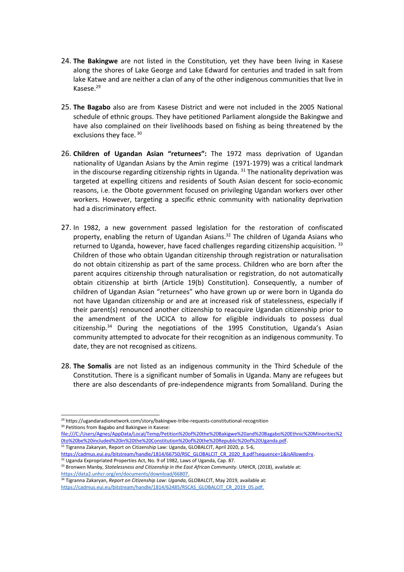- 24. **The Bakingwe** are not listed in the Constitution, yet they have been living in Kasese along the shores of Lake George and Lake Edward for centuries and traded in salt from lake Katwe and are neither <sup>a</sup> clan of any of the other indigenous communities that live in Kasese.<sup>29</sup>
- 25. **The Bagabo** also are from Kasese District and were not included in the 2005 National schedule of ethnic groups. They have petitioned Parliament alongside the Bakingwe and have also complained on their livelihoods based on fishing as being threatened by the exclusions they face. 30
- 26. **Children of Ugandan Asian "returnees":** The 1972 mass deprivation of Ugandan nationality of Ugandan Asians by the Amin regime (1971-1979) was <sup>a</sup> critical landmark in the discourse regarding citizenship rights in Uganda. 31 The nationality deprivation was targeted at expelling citizens and residents of South Asian descent for socio-economic reasons, i.e. the Obote government focused on privileging Ugandan workers over other workers. However, targeting <sup>a</sup> specific ethnic community with nationality deprivation had <sup>a</sup> discriminatory effect.
- 27. In 1982, <sup>a</sup> new government passed legislation for the restoration of confiscated property, enabling the return of Ugandan Asians.<sup>32</sup> The children of Uganda Asians who returned to Uganda, however, have faced challenges regarding citizenship acquisition. <sup>33</sup> Children of those who obtain Ugandan citizenship through registration or naturalisation do not obtain citizenship as part of the same process. Children who are born after the parent acquires citizenship through naturalisation or registration, do not automatically obtain citizenship at birth (Article 19(b) Constitution). Consequently, <sup>a</sup> number of children of Ugandan Asian "returnees" who have grown up or were born in Uganda do not have Ugandan citizenship or and are at increased risk of statelessness, especially if their parent(s) renounced another citizenship to reacquire Ugandan citizenship prior to the amendment of the UCICA to allow for eligible individuals to possess dual citizenship.<sup>34</sup> During the negotiations of the 1995 Constitution, Uganda's Asian community attempted to advocate for their recognition as an indigenous community. To date, they are not recognised as citizens.
- 28. **The Somalis** are not listed as an indigenous community in the Third Schedule of the Constitution. There is <sup>a</sup> significant number of Somalis in Uganda. Many are refugees but there are also descendants of pre-independence migrants from Somaliland. During the

<sup>29</sup> https://ugandaradionetwork.com/story/bakingwe-tribe-requests-constitutional-recognition <sup>30</sup> Petitions from Bagabo and Bakingwe in Kasese:

file:///C:/Users/Agnes/AppData/Local/Temp/Petition%20of%20the%20Bakigwe%20and%20Bagabo%20Ethnic%20Minorities%2 0to%20be%20included%20in%20the%20Constitution%20of%20the%20Republic%20of%20Uganda.pdf.

<sup>&</sup>lt;sup>31</sup> Tigranna Zakaryan, Report on Citizenship Law: Uganda, GLOBALCIT, April 2020, p. 5-6,

[https://cadmus.eui.eu/bitstream/handle/1814/66750/RSC\\_GLOBALCIT\\_CR\\_2020\\_8.pdf?sequence=1&isAllowed=y](https://cadmus.eui.eu/bitstream/handle/1814/66750/RSC_GLOBALCIT_CR_2020_8.pdf?sequence=1&isAllowed=y).<br><sup>32</sup> Uganda Expropriated Properties Act, No. 9 of 1982, Laws of Uganda, Cap. 87.

<sup>33</sup> Bronwen Manby, *Statelessness and Citizenship in the East African Community*. UNHCR, (2018), available at: <https://data2.unhcr.org/en/documents/download/66807>.

<sup>34</sup> Tigranna Zakaryan, *Report on Citizenship Law: Uganda*, GLOBALCIT, May 2019, available at: [https://cadmus.eui.eu/bitstream/handle/1814/62485/RSCAS\\_GLOBALCIT\\_CR\\_2019\\_05.pdf](https://cadmus.eui.eu/bitstream/handle/1814/62485/RSCAS_GLOBALCIT_CR_2019_05.pdf).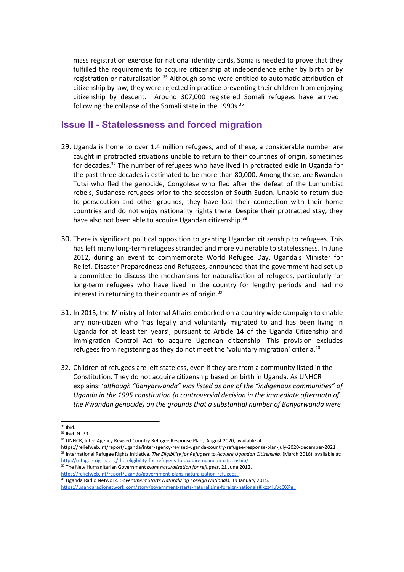mass registration exercise for national identity cards, Somalis needed to prove that they fulfilled the requirements to acquire citizenship at independence either by birth or by registration or naturalisation.<sup>35</sup> Although some were entitled to automatic attribution of citizenship by law, they were rejected in practice preventing their children from enjoying citizenship by descent. Around 307,000 registered Somali refugees have arrived following the collapse of the Somali state in the 1990s.<sup>36</sup>

#### **Issue II - Statelessness and forced migration**

- 29. Uganda is home to over 1.4 million refugees, and of these, <sup>a</sup> considerable number are caught in protracted situations unable to return to their countries of origin, sometimes for decades.<sup>37</sup> The number of refugees who have lived in protracted exile in Uganda for the past three decades is estimated to be more than 80,000. Among these, are Rwandan Tutsi who fled the genocide, Congolese who fled after the defeat of the Lumumbist rebels, Sudanese refugees prior to the secession of South Sudan. Unable to return due to persecution and other grounds, they have lost their connection with their home countries and do not enjoy nationality rights there. Despite their protracted stay, they have also not been able to acquire Ugandan citizenship.<sup>38</sup>
- 30. There is significant political opposition to granting Ugandan citizenship to refugees. This has left many long-term refugees stranded and more vulnerable to statelessness. In June 2012, during an event to commemorate World Refugee Day, Uganda's Minister for Relief, Disaster Preparedness and Refugees, announced that the government had set up <sup>a</sup> committee to discuss the mechanisms for naturalisation of refugees, particularly for long-term refugees who have lived in the country for lengthy periods and had no interest in returning to their countries of origin.<sup>39</sup>
- 31. In 2015, the Ministry of Internal Affairs embarked on <sup>a</sup> country wide campaign to enable any non-citizen who 'has legally and voluntarily migrated to and has been living in Uganda for at least ten years', pursuant to Article 14 of the Uganda Citizenship and Immigration Control Act to acquire Ugandan citizenship. This provision excludes refugees from registering as they do not meet the 'voluntary migration' criteria. 40
- 32. Children of refugees are left stateless, even if they are from <sup>a</sup> community listed in the Constitution. They do not acquire citizenship based on birth in Uganda. As UNHCR explains: '*although "Banyarwanda" was listed as one of the "indigenous communities" of Uganda in the 1995 constitution (a controversial decision in the immediate aftermath of the Rwandan genocide) on the grounds that <sup>a</sup> substantial number of Banyarwanda were*

<sup>&</sup>lt;sup>35</sup> Ibid.

<sup>&</sup>lt;sup>36</sup> Ibid. N. 33.

<sup>&</sup>lt;sup>37</sup> UNHCR, Inter-Agency Revised Country Refugee Response Plan, August 2020, available at

<https://reliefweb.int/report/uganda/inter-agency-revised-uganda-country-refugee-response-plan-july-2020-december-2021> 38 International Refugee Rights Initiative, *The Eligibility for Refugees to Acquire Ugandan Citizenship*, (March 2016), available at: <http://refugee-rights.org/the-eligibility-for-refugees-to-acquire-ugandan-citizenship/>.

<sup>39</sup> The New Humanitarian Government *plans naturalization for refugees,* 21 June 2012. <https://reliefweb.int/report/uganda/government-plans-naturalization-refugees>.

<sup>40</sup> Uganda Radio Network, *Government Starts Naturalizing Foreign Nationals,* 19 January 2015.

<https://ugandaradionetwork.com/story/government-starts-naturalizing-foreign-nationals#ixzz4IuVcOXPg>.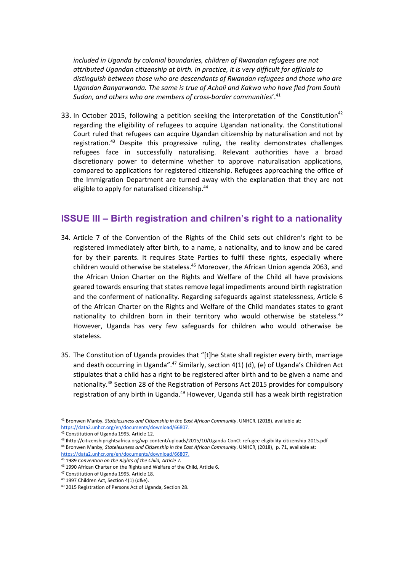*included in Uganda by colonial boundaries, children of Rwandan refugees are not attributed Ugandan citizenship at birth. In practice, it is very difficult for officials to distinguish between those who are descendants of Rwandan refugees and those who are Ugandan Banyarwanda. The same is true of Acholi and Kakwa who have fled from South Sudan, and others who are members of cross-border communities*'. 41

33. In October 2015, following a petition seeking the interpretation of the Constitution<sup>42</sup> regarding the eligibility of refugees to acquire Ugandan nationality. the Constitutional Court ruled that refugees can acquire Ugandan citizenship by naturalisation and not by registration.<sup>43</sup> Despite this progressive ruling, the reality demonstrates challenges refugees face in successfully naturalising. Relevant authorities have <sup>a</sup> broad discretionary power to determine whether to approve naturalisation applications, compared to applications for registered citizenship. Refugees approaching the office of the Immigration Department are turned away with the explanation that they are not eligible to apply for naturalised citizenship.<sup>44</sup>

# **ISSUE III – Birth registration and chilren'<sup>s</sup> right to <sup>a</sup> nationality**

- 34. Article 7 of the Convention of the Rights of the Child sets out children's right to be registered immediately after birth, to <sup>a</sup> name, <sup>a</sup> nationality, and to know and be cared for by their parents. It requires State Parties to fulfil these rights, especially where children would otherwise be stateless.<sup>45</sup> Moreover, the African Union agenda 2063, and the African Union Charter on the Rights and Welfare of the Child all have provisions geared towards ensuring that states remove legal impediments around birth registration and the conferment of nationality. Regarding safeguards against statelessness, Article 6 of the African Charter on the Rights and Welfare of the Child mandates states to grant nationality to children born in their territory who would otherwise be stateless.<sup>46</sup> However, Uganda has very few safeguards for children who would otherwise be stateless.
- 35. The Constitution of Uganda provides that "[t]he State shall register every birth, marriage and death occurring in Uganda".<sup>47</sup> Similarly, section 4(1) (d), (e) of Uganda's Children Act stipulates that <sup>a</sup> child has <sup>a</sup> right to be registered after birth and to be given <sup>a</sup> name and nationality.<sup>48</sup> Section 28 of the Registration of Persons Act 2015 provides for compulsory registration of any birth in Uganda.<sup>49</sup> However, Uganda still has a weak birth registration

9

<sup>41</sup> Bronwen Manby, *Statelessness and Citizenship in the East African Community*. UNHCR, (2018), available at: <https://data2.unhcr.org/en/documents/download/66807>.

<sup>&</sup>lt;sup>42</sup> Constitution of Uganda 1995, Article 12.

<sup>43</sup> Ihttp://citizenshiprightsafrica.org/wp-content/uploads/2015/10/Uganda-ConCt-refugee-eligibility-citizenship-2015.pdf

<sup>44</sup> Bronwen Manby, *Statelessness and Citizenship in the East African Community*. UNHCR, (2018), p. 71, available at: <https://data2.unhcr.org/en/documents/download/66807>.

<sup>45</sup> 1989 *Convention on the Rights of the Child, Article 7.*

<sup>&</sup>lt;sup>46</sup> 1990 African Charter on the Rights and Welfare of the Child, Article 6.

<sup>&</sup>lt;sup>47</sup> Constitution of Uganda 1995, Article 18.

<sup>48</sup> 1997 Children Act, Section 4(1) (d&e).

<sup>&</sup>lt;sup>49</sup> 2015 Registration of Persons Act of Uganda, Section 28.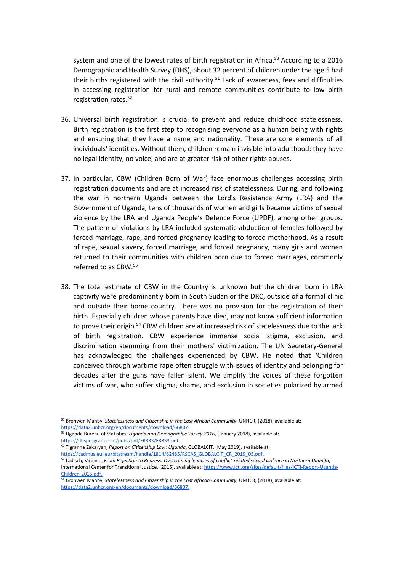system and one of the lowest rates of birth registration in Africa. 50 According to <sup>a</sup> 2016 Demographic and Health Survey (DHS), about 32 percent of children under the age 5 had their births registered with the civil authority.<sup>51</sup> Lack of awareness, fees and difficulties in accessing registration for rural and remote communities contribute to low birth registration rates.<sup>52</sup>

- 36. Universal birth registration is crucial to prevent and reduce childhood statelessness. Birth registration is the first step to recognising everyone as <sup>a</sup> human being with rights and ensuring that they have <sup>a</sup> name and nationality. These are core elements of all individuals' identities. Without them, children remain invisible into adulthood: they have no legal identity, no voice, and are at greater risk of other rights abuses.
- 37. In particular, CBW (Children Born of War) face enormous challenges accessing birth registration documents and are at increased risk of statelessness. During, and following the war in northern Uganda between the Lord's Resistance Army (LRA) and the Government of Uganda, tens of thousands of women and girls became victims of sexual violence by the LRA and Uganda People'<sup>s</sup> Defence Force (UPDF), among other groups. The pattern of violations by LRA included systematic abduction of females followed by forced marriage, rape, and forced pregnancy leading to forced motherhood. As <sup>a</sup> result of rape, sexual slavery, forced marriage, and forced pregnancy, many girls and women returned to their communities with children born due to forced marriages, commonly referred to as CBW.<sup>53</sup>
- 38. The total estimate of CBW in the Country is unknown but the children born in LRA captivity were predominantly born in South Sudan or the DRC, outside of <sup>a</sup> formal clinic and outside their home country. There was no provision for the registration of their birth. Especially children whose parents have died, may not know sufficient information to prove their origin.<sup>54</sup> CBW children are at increased risk of statelessness due to the lack of birth registration. CBW experience immense social stigma, exclusion, and discrimination stemming from their mothers' victimization. The UN Secretary-General has acknowledged the challenges experienced by CBW. He noted that 'Children conceived through wartime rape often struggle with issues of identity and belonging for decades after the guns have fallen silent. We amplify the voices of these forgotten victims of war, who suffer stigma, shame, and exclusion in societies polarized by armed

52 Tigranna Zakaryan, *Report on Citizenship Law: Uganda*, GLOBALCIT, (May 2019), available at: [https://cadmus.eui.eu/bitstream/handle/1814/62485/RSCAS\\_GLOBALCIT\\_CR\\_2019\\_05.pdf](https://cadmus.eui.eu/bitstream/handle/1814/62485/RSCAS_GLOBALCIT_CR_2019_05.pdf).

<sup>50</sup> Bronwen Manby, *Statelessness and Citizenship in the East African Community*, UNHCR, (2018), available at: <https://data2.unhcr.org/en/documents/download/66807>.

<sup>51</sup> Uganda Bureau of Statistics, *Uganda and Demographic Survey 2016*, (January 2018), available at: <https://dhsprogram.com/pubs/pdf/FR333/FR333.pdf>.

<sup>53</sup> Ladisch, Virginie, *From Rejection to Redress. Overcoming legacies of conflict-related sexual violence in Northern Uganda*, International Center for Transitional Justice, (2015), available at: [https://www.ictj.org/sites/default/files/ICTJ-Report-Uganda-](https://www.ictj.org/sites/default/files/ICTJ-Report-Uganda-Children-2015.pdf)[Children-2015.pdf](https://www.ictj.org/sites/default/files/ICTJ-Report-Uganda-Children-2015.pdf).

<sup>54</sup> Bronwen Manby, *Statelessness and Citizenship in the East African Community*, UNHCR, (2018), available at: <https://data2.unhcr.org/en/documents/download/66807>.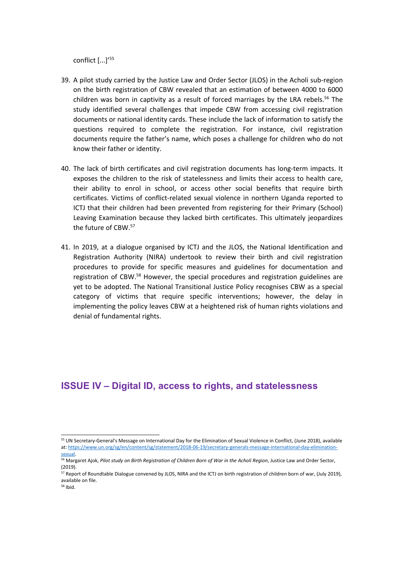conflict [...]' 55

- 39. A pilot study carried by the Justice Law and Order Sector (JLOS) in the Acholi sub-region on the birth registration of CBW revealed that an estimation of between 4000 to 6000 children was born in captivity as a result of forced marriages by the LRA rebels.<sup>56</sup> The study identified several challenges that impede CBW from accessing civil registration documents or national identity cards. These include the lack of information to satisfy the questions required to complete the registration. For instance, civil registration documents require the father'<sup>s</sup> name, which poses <sup>a</sup> challenge for children who do not know their father or identity.
- 40. The lack of birth certificates and civil registration documents has long-term impacts. It exposes the children to the risk of statelessness and limits their access to health care, their ability to enrol in school, or access other social benefits that require birth certificates. Victims of conflict-related sexual violence in northern Uganda reported to ICTJ that their children had been prevented from registering for their Primary (School) Leaving Examination because they lacked birth certificates. This ultimately jeopardizes the future of CBW. 57
- 41. In 2019, at <sup>a</sup> dialogue organised by ICTJ and the JLOS, the National Identification and Registration Authority (NIRA) undertook to review their birth and civil registration procedures to provide for specific measures and guidelines for documentation and registration of CBW.<sup>58</sup> However, the special procedures and registration guidelines are yet to be adopted. The National Transitional Justice Policy recognises CBW as <sup>a</sup> special category of victims that require specific interventions; however, the delay in implementing the policy leaves CBW at <sup>a</sup> heightened risk of human rights violations and denial of fundamental rights.

#### **ISSUE IV – Digital ID, access to rights, and statelessness**

<sup>&</sup>lt;sup>55</sup> UN Secretary-General's Message on International Day for the Elimination of Sexual Violence in Conflict, (June 2018), available at: [https://www.un.org/sg/en/content/sg/statement/2018-06-19/secretary-generals-message-international-day-elimination](https://www.un.org/sg/en/content/sg/statement/2018-06-19/secretary-generals-message-international-day-elimination-sexual)[sexual](https://www.un.org/sg/en/content/sg/statement/2018-06-19/secretary-generals-message-international-day-elimination-sexual).

<sup>&</sup>lt;sup>56</sup> Margaret Ajok, Pilot study on Birth Registration of Children Born of War in the Acholi Region, Justice Law and Order Sector, (2019).

<sup>&</sup>lt;sup>57</sup> Report of Roundtable Dialogue convened by JLOS, NIRA and the ICTJ on birth registration of children born of war, (July 2019), available on file.

<sup>&</sup>lt;sup>58</sup> Ibid.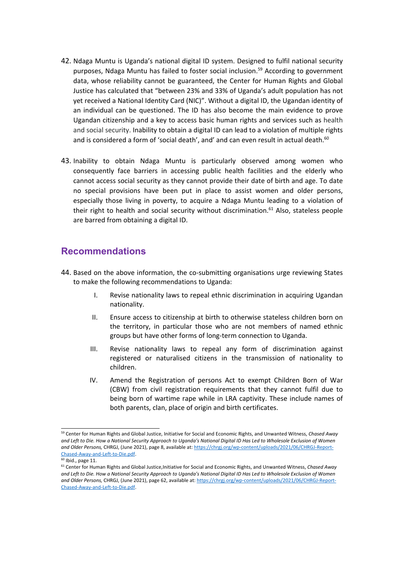- 42. Ndaga Muntu is Uganda'<sup>s</sup> national digital ID system. Designed to fulfil national security purposes, Ndaga Muntu has failed to foster social inclusion. 59 According to government data, whose reliability cannot be guaranteed, the Center for Human Rights and Global Justice has calculated that "between 23% and 33% of Uganda'<sup>s</sup> adult population has not yet received <sup>a</sup> National Identity Card (NIC)". Without <sup>a</sup> digital ID, the Ugandan identity of an individual can be questioned. The ID has also become the main evidence to prove Ugandan citizenship and <sup>a</sup> key to access basic human rights and services such as health and social security. Inability to obtain <sup>a</sup> digital ID can lead to <sup>a</sup> violation of multiple rights and is considered a form of 'social death', and' and can even result in actual death. $^{60}$
- 43. Inability to obtain Ndaga Muntu is particularly observed among women who consequently face barriers in accessing public health facilities and the elderly who cannot access social security as they cannot provide their date of birth and age. To date no special provisions have been put in place to assist women and older persons, especially those living in poverty, to acquire <sup>a</sup> Ndaga Muntu leading to <sup>a</sup> violation of their right to health and social security without discrimination.<sup>61</sup> Also, stateless people are barred from obtaining <sup>a</sup> digital ID.

#### **Recommendations**

- 44. Based on the above information, the co-submitting organisations urge reviewing States to make the following recommendations to Uganda:
	- I. Revise nationality laws to repeal ethnic discrimination in acquiring Ugandan nationality.
	- II. Ensure access to citizenship at birth to otherwise stateless children born on the territory, in particular those who are not members of named ethnic groups but have other forms of long-term connection to Uganda.
	- III. Revise nationality laws to repeal any form of discrimination against registered or naturalised citizens in the transmission of nationality to children.
	- IV. Amend the Registration of persons Act to exempt Children Born of War (CBW) from civil registration requirements that they cannot fulfil due to being born of wartime rape while in LRA captivity. These include names of both parents, clan, place of origin and birth certificates.

<sup>59</sup> Center for Human Rights and Global Justice, Initiative for Social and Economic Rights, and Unwanted Witness, *Chased Away* and Left to Die. How a National Security Approach to Uganda's National Digital ID Has Led to Wholesole Exclusion of Women *and Older Persons,* CHRGJ, (June 2021), page 8, available at: [https://chrgj.org/wp-content/uploads/2021/06/CHRGJ-Report-](https://chrgj.org/wp-content/uploads/2021/06/CHRGJ-Report-Chased-Away-and-Left-to-Die.pdf)[Chased-Away-and-Left-to-Die.pdf](https://chrgj.org/wp-content/uploads/2021/06/CHRGJ-Report-Chased-Away-and-Left-to-Die.pdf).

<sup>&</sup>lt;sup>60</sup> Ibid., page 11.

<sup>61</sup> Center for Human Rights and Global Justice,Initiative for Social and Economic Rights, and Unwanted Witness, *Chased Away* and Left to Die. How a National Security Approach to Uganda's National Digital ID Has Led to Wholesole Exclusion of Women *and Older Persons,* CHRGJ, (June 2021), page 62, available at: [https://chrgj.org/wp-content/uploads/2021/06/CHRGJ-Report-](https://chrgj.org/wp-content/uploads/2021/06/CHRGJ-Report-Chased-Away-and-Left-to-Die.pdf)[Chased-Away-and-Left-to-Die.pdf](https://chrgj.org/wp-content/uploads/2021/06/CHRGJ-Report-Chased-Away-and-Left-to-Die.pdf).